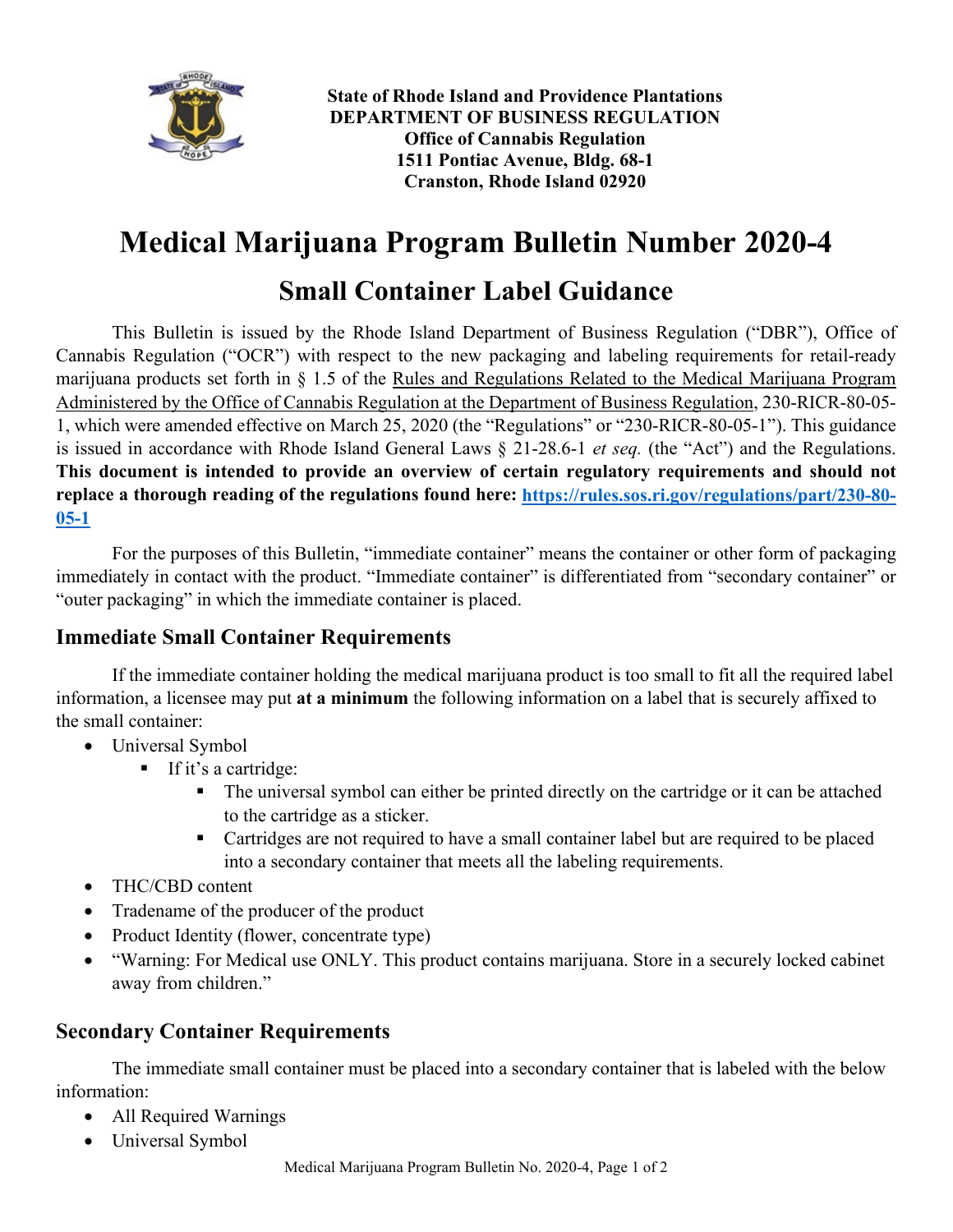

**State of Rhode Island and Providence Plantations DEPARTMENT OF BUSINESS REGULATION Office of Cannabis Regulation 1511 Pontiac Avenue, Bldg. 68-1 Cranston, Rhode Island 02920**

# **Medical Marijuana Program Bulletin Number 2020-4**

## **Small Container Label Guidance**

This Bulletin is issued by the Rhode Island Department of Business Regulation ("DBR"), Office of Cannabis Regulation ("OCR") with respect to the new packaging and labeling requirements for retail-ready marijuana products set forth in § 1.5 of the Rules and Regulations Related to the Medical Marijuana Program Administered by the Office of Cannabis Regulation at the Department of Business Regulation, 230-RICR-80-05- 1, which were amended effective on March 25, 2020 (the "Regulations" or "230-RICR-80-05-1"). This guidance is issued in accordance with Rhode Island General Laws § 21-28.6-1 *et seq.* (the "Act") and the Regulations. **This document is intended to provide an overview of certain regulatory requirements and should not replace a thorough reading of the regulations found here: [https://rules.sos.ri.gov/regulations/part/230-80-](https://rules.sos.ri.gov/regulations/part/230-80-05-1) [05-1](https://rules.sos.ri.gov/regulations/part/230-80-05-1)**

For the purposes of this Bulletin, "immediate container" means the container or other form of packaging immediately in contact with the product. "Immediate container" is differentiated from "secondary container" or "outer packaging" in which the immediate container is placed.

## **Immediate Small Container Requirements**

If the immediate container holding the medical marijuana product is too small to fit all the required label information, a licensee may put **at a minimum** the following information on a label that is securely affixed to the small container:

- Universal Symbol
	- If it's a cartridge:
		- The universal symbol can either be printed directly on the cartridge or it can be attached to the cartridge as a sticker.
		- Cartridges are not required to have a small container label but are required to be placed into a secondary container that meets all the labeling requirements.
- THC/CBD content
- Tradename of the producer of the product
- Product Identity (flower, concentrate type)
- "Warning: For Medical use ONLY. This product contains marijuana. Store in a securely locked cabinet away from children."

## **Secondary Container Requirements**

The immediate small container must be placed into a secondary container that is labeled with the below information:

- All Required Warnings
- Universal Symbol